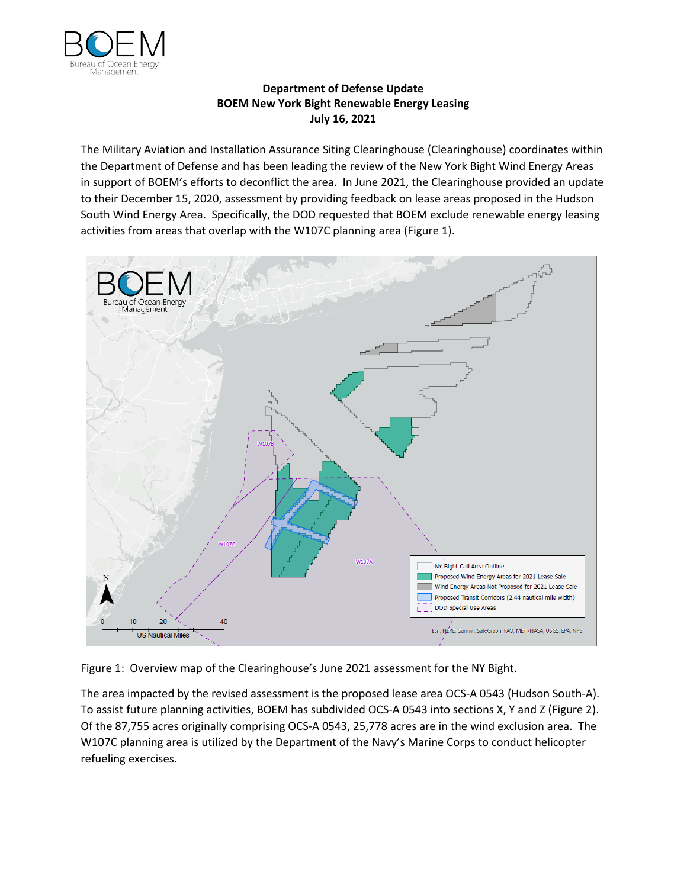

## **Department of Defense Update BOEM New York Bight Renewable Energy Leasing July 16, 2021**

The Military Aviation and Installation Assurance Siting Clearinghouse (Clearinghouse) coordinates within the Department of Defense and has been leading the review of the New York Bight Wind Energy Areas in support of BOEM's efforts to deconflict the area. In June 2021, the Clearinghouse provided an update to their December 15, 2020, assessment by providing feedback on lease areas proposed in the Hudson South Wind Energy Area. Specifically, the DOD requested that BOEM exclude renewable energy leasing activities from areas that overlap with the W107C planning area (Figure 1).



Figure 1: Overview map of the Clearinghouse's June 2021 assessment for the NY Bight.

The area impacted by the revised assessment is the proposed lease area OCS-A 0543 (Hudson South-A). To assist future planning activities, BOEM has subdivided OCS-A 0543 into sections X, Y and Z (Figure 2). Of the 87,755 acres originally comprising OCS-A 0543, 25,778 acres are in the wind exclusion area. The W107C planning area is utilized by the Department of the Navy's Marine Corps to conduct helicopter refueling exercises.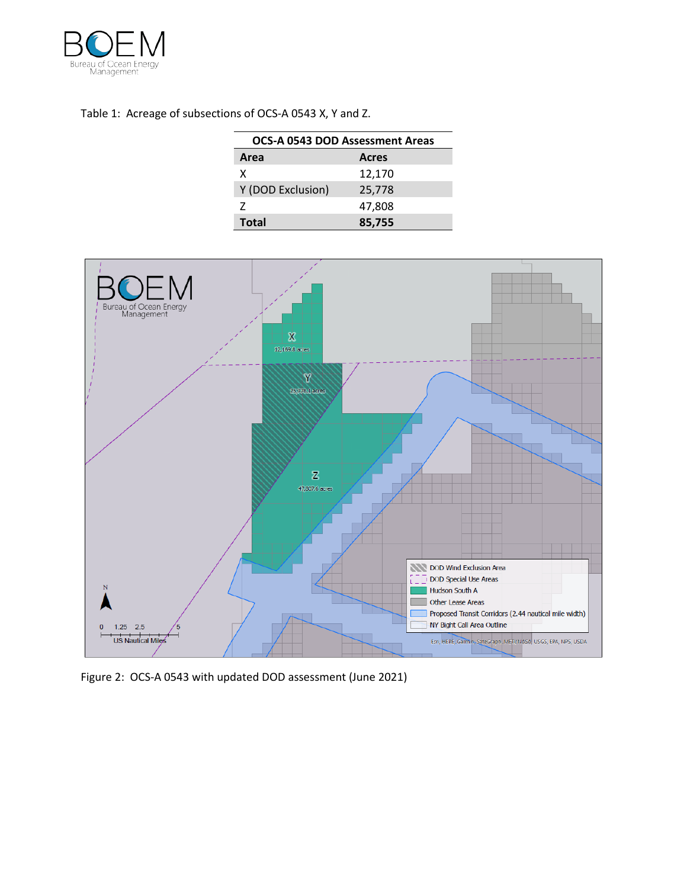

## Table 1: Acreage of subsections of OCS-A 0543 X, Y and Z.

| <b>OCS-A 0543 DOD Assessment Areas</b> |              |
|----------------------------------------|--------------|
| Area                                   | <b>Acres</b> |
| x                                      | 12,170       |
| Y (DOD Exclusion)                      | 25,778       |
| 7                                      | 47,808       |
| <b>Total</b>                           | 85,755       |



Figure 2: OCS-A 0543 with updated DOD assessment (June 2021)